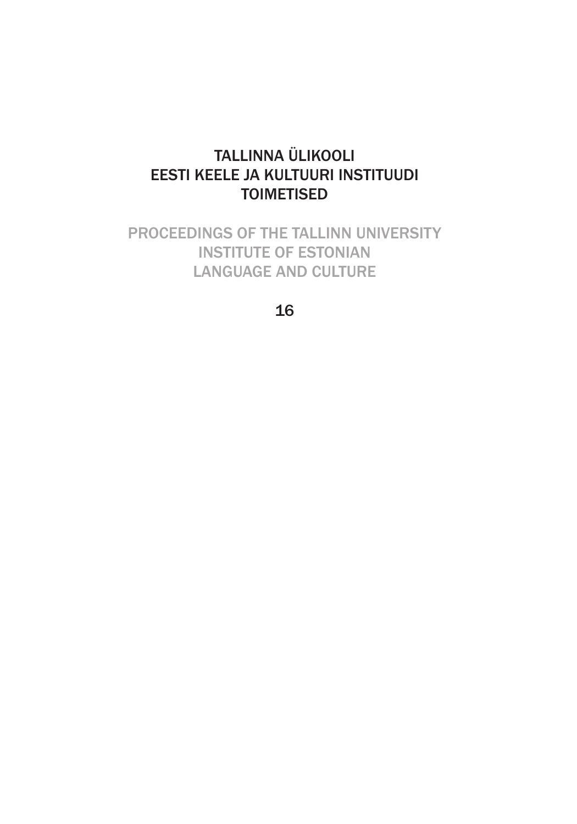## TALLINNA ÜLIKOOLI EESTI KEELE JA KULTUURI INSTITUUDI TOIMETISED

PROCEEDINGS OF THE TALLINN UNIVERSITY INSTITUTE OF ESTONIAN LANGUAGE AND CULTURE

16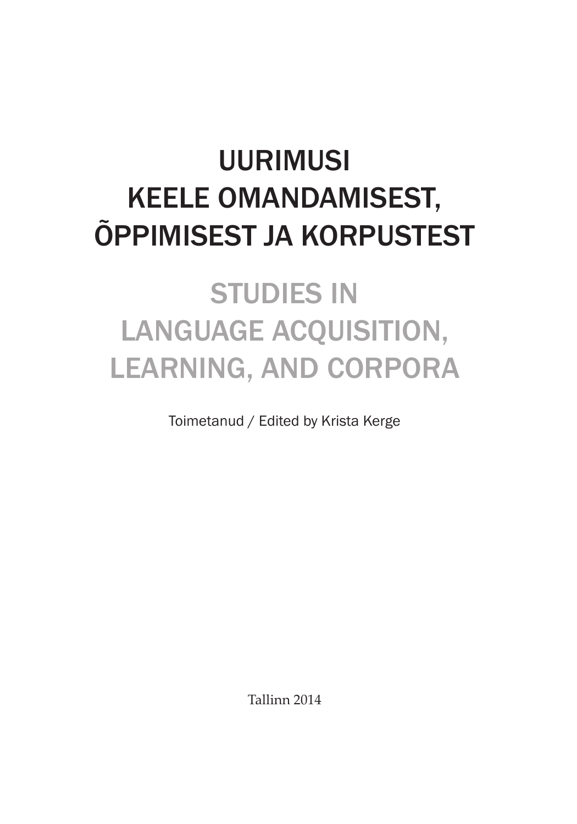# UURIMUSI KEELE OMANDAMISEST, ÕPPIMISEST JA KORPUSTEST

# STUDIES IN LANGUAGE ACQUISITION, LEARNING, AND CORPORA

Toimetanud / Edited by Krista Kerge

Tallinn 2014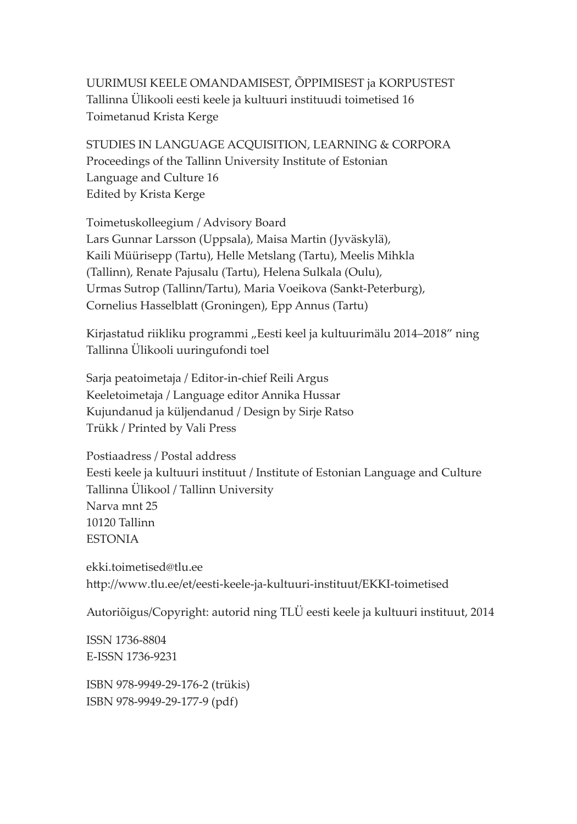UURIMUSI KEELE OMANDAMISEST, ÕPPIMISEST ja KORPUSTEST Tallinna Ülikooli eesti keele ja kultuuri instituudi toimetised 16 Toimetanud Krista Kerge

STUDIES IN LANGUAGE ACQUISITION, LEARNING & CORPORA Proceedings of the Tallinn University Institute of Estonian Language and Culture 16 Edited by Krista Kerge

Toimetuskolleegium / Advisory Board Lars Gunnar Larsson (Uppsala), Maisa Martin (Jyväskylä), Kaili Müürisepp (Tartu), Helle Metslang (Tartu), Meelis Mihkla (Tallinn), Renate Pajusalu (Tartu), Helena Sulkala (Oulu), Urmas Sutrop (Tallinn/Tartu), Maria Voeikova (Sankt-Peterburg), Cornelius Hasselblatt (Groningen), Epp Annus (Tartu)

Kirjastatud riikliku programmi "Eesti keel ja kultuurimälu 2014–2018" ning Tallinna Ülikooli uuringufondi toel

Sarja peatoimetaja / Editor-in-chief Reili Argus Keeletoimetaja / Language editor Annika Hussar Kujundanud ja küljendanud / Design by Sirje Ratso Trükk / Printed by Vali Press

Postiaadress / Postal address Eesti keele ja kultuuri instituut / Institute of Estonian Language and Culture Tallinna Ülikool / Tallinn University Narva mnt 25 10120 Tallinn **ESTONIA** 

ekki.toimetised@tlu.ee http://www.tlu.ee/et/eesti-keele-ja-kultuuri-instituut/EKKI-toimetised

Autoriõigus/Copyright: autorid ning TLÜ eesti keele ja kultuuri instituut, 2014

ISSN 1736-8804 E-ISSN 1736-9231

ISBN 978-9949-29-176-2 (trükis) ISBN 978-9949-29-177-9 (pdf)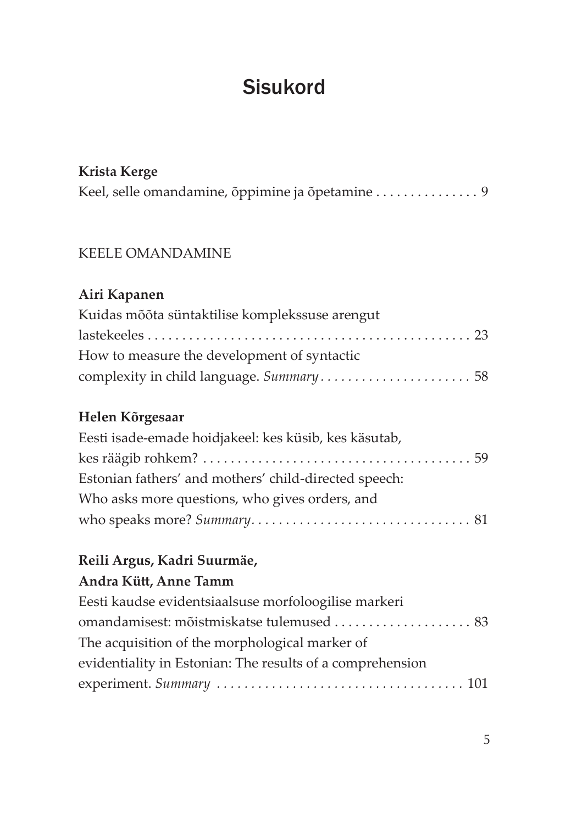# **Sisukord**

#### **Krista Kerge**

Keel, selle omandamine, õppimine ja õpetamine . . . . . . . . . . . . . . . [9](#page--1-0)

#### KEELE OMANDAMINE

#### **Airi Kapanen**

| Kuidas mõõta süntaktilise komplekssuse arengut |  |
|------------------------------------------------|--|
|                                                |  |
| How to measure the development of syntactic    |  |
|                                                |  |

#### **Helen Kõrgesaar**

| Eesti isade-emade hoidjakeel: kes küsib, kes käsutab, |  |
|-------------------------------------------------------|--|
|                                                       |  |
| Estonian fathers' and mothers' child-directed speech: |  |
| Who asks more questions, who gives orders, and        |  |
|                                                       |  |

## **Reili Argus, Kadri Suurmäe,**

#### **Andra Kütt , Anne Tamm**

| Eesti kaudse evidentsiaalsuse morfoloogilise markeri      |  |
|-----------------------------------------------------------|--|
| omandamisest: mõistmiskatse tulemused  83                 |  |
| The acquisition of the morphological marker of            |  |
| evidentiality in Estonian: The results of a comprehension |  |
|                                                           |  |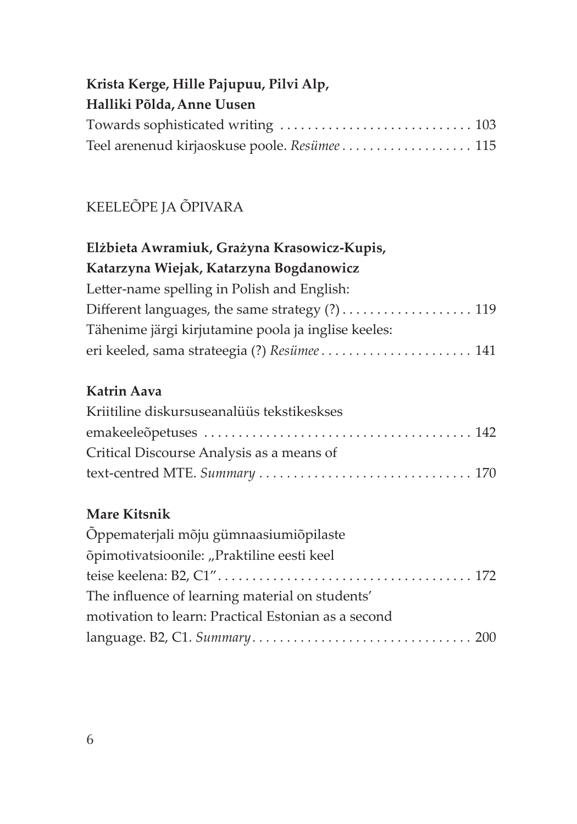## **Krista Kerge, Hille Pajupuu, Pilvi Alp, Halliki Põlda,Anne Uusen** Towards sophisticated writing . . . . . . . . . . . . . . . . . . . . . . . . . . . . [103](#page--1-0) Teel arenenud kirjaoskuse poole. *Resümee . . . . . . . . . . . . . . . . . . .* [115](#page--1-0)

## KEELEÕPE JA ÕPIVARA

| Elżbieta Awramiuk, Grażyna Krasowicz-Kupis,         |  |  |  |
|-----------------------------------------------------|--|--|--|
| Katarzyna Wiejak, Katarzyna Bogdanowicz             |  |  |  |
| Letter-name spelling in Polish and English:         |  |  |  |
| Different languages, the same strategy (?) 119      |  |  |  |
| Tähenime järgi kirjutamine poola ja inglise keeles: |  |  |  |
|                                                     |  |  |  |

## **Katrin Aava**

| Kriitiline diskursuseanalüüs tekstikeskses |  |
|--------------------------------------------|--|
|                                            |  |
| Critical Discourse Analysis as a means of  |  |
|                                            |  |

## **Mare Kitsnik**

| Õppematerjali mõju gümnaasiumiõpilaste              |  |
|-----------------------------------------------------|--|
| õpimotivatsioonile: "Praktiline eesti keel          |  |
|                                                     |  |
| The influence of learning material on students'     |  |
| motivation to learn: Practical Estonian as a second |  |
|                                                     |  |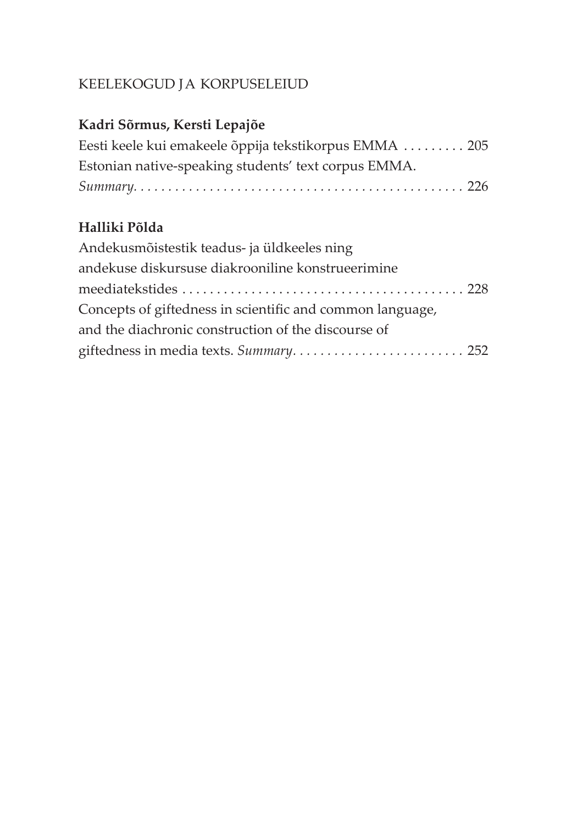## KEELEKOGUD JA KORPUSELEIUD

## **Kadri Sõrmus, Kersti Lepajõe**

| Eesti keele kui emakeele õppija tekstikorpus EMMA  205 |  |
|--------------------------------------------------------|--|
| Estonian native-speaking students' text corpus EMMA.   |  |
|                                                        |  |

## **Halliki Põlda**

| Andekusmõistestik teadus- ja üldkeeles ning               |  |
|-----------------------------------------------------------|--|
| andekuse diskursuse diakrooniline konstrueerimine         |  |
|                                                           |  |
| Concepts of giftedness in scientific and common language, |  |
| and the diachronic construction of the discourse of       |  |
| giftedness in media texts. Summary 252                    |  |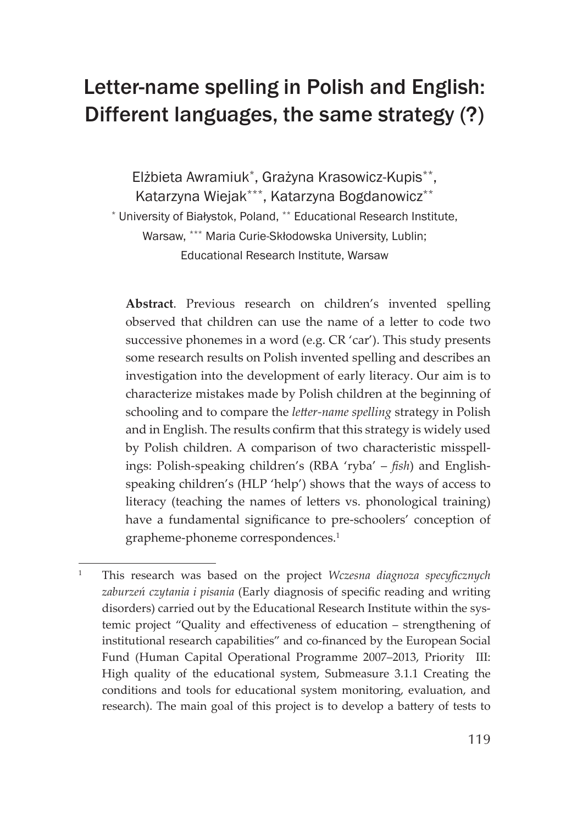# <span id="page-7-0"></span>Letter-name spelling in Polish and English: Different languages, the same strategy (?)

Elżbieta Awramiuk\*, Grażyna Krasowicz-Kupis\*\*, Katarzyna Wiejak\*\*\*, Katarzyna Bogdanowicz\*\* \* University of Białystok, Poland, \*\* Educational Research Institute, Warsaw, \*\*\* Maria Curie-Skłodowska University, Lublin; Educational Research Institute, Warsaw

**Abstract**. Previous research on children's invented spelling observed that children can use the name of a letter to code two successive phonemes in a word (e.g. CR 'car'). This study presents some research results on Polish invented spelling and describes an investigation into the development of early literacy. Our aim is to characterize mistakes made by Polish children at the beginning of schooling and to compare the *letter-name spelling* strategy in Polish and in English. The results confirm that this strategy is widely used by Polish children. A comparison of two characteristic misspellings: Polish-speaking children's (RBA 'ryba' – *fish*) and Englishspeaking children's (HLP 'help') shows that the ways of access to literacy (teaching the names of letters vs. phonological training) have a fundamental significance to pre-schoolers' conception of grapheme-phoneme correspondences.<sup>1</sup>

<sup>&</sup>lt;sup>1</sup> This research was based on the project *Wczesna diagnoza specyficznych zaburzeń czytania i pisania* (Early diagnosis of specific reading and writing disorders) carried out by the Educational Research Institute within the systemic project "Quality and effectiveness of education - strengthening of institutional research capabilities" and co-financed by the European Social Fund (Human Capital Operational Programme 2007–2013, Priority III: High quality of the educational system, Submeasure 3.1.1 Creating the conditions and tools for educational system monitoring, evaluation, and research). The main goal of this project is to develop a battery of tests to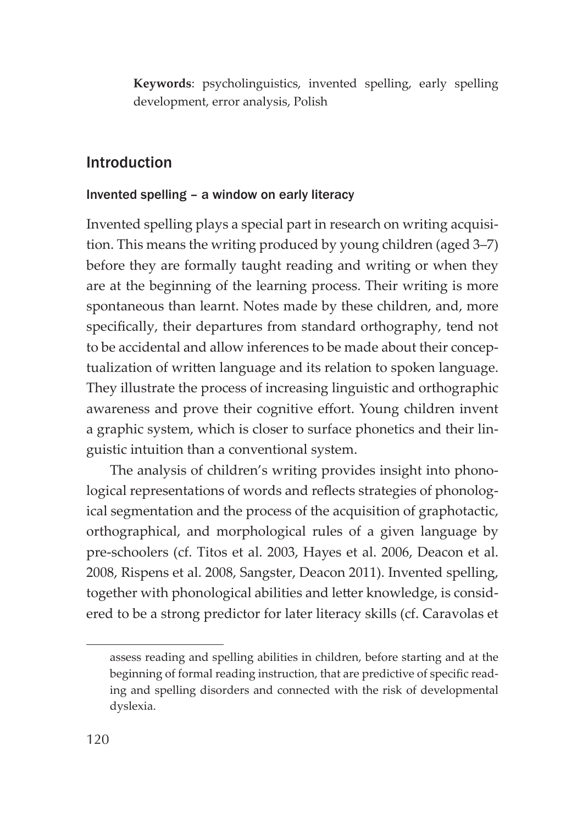**Keywords**: psycholinguistics, invented spelling, early spelling development, error analysis, Polish

#### Introduction

#### Invented spelling – a window on early literacy

Invented spelling plays a special part in research on writing acquisition. This means the writing produced by young children (aged 3–7) before they are formally taught reading and writing or when they are at the beginning of the learning process. Their writing is more spontaneous than learnt. Notes made by these children, and, more specifically, their departures from standard orthography, tend not to be accidental and allow inferences to be made about their conceptualization of written language and its relation to spoken language. They illustrate the process of increasing linguistic and orthographic awareness and prove their cognitive effort. Young children invent a graphic system, which is closer to surface phonetics and their linguistic intuition than a conventional system.

The analysis of children's writing provides insight into phonological representations of words and reflects strategies of phonological segmentation and the process of the acquisition of graphotactic, orthographical, and morphological rules of a given language by pre-schoolers (cf. Titos et al. 2003, Hayes et al. 2006, Deacon et al. 2008, Rispens et al. 2008, Sangster, Deacon 2011). Invented spelling, together with phonological abilities and letter knowledge, is considered to be a strong predictor for later literacy skills (cf. Caravolas et

assess reading and spelling abilities in children, before starting and at the beginning of formal reading instruction, that are predictive of specific reading and spelling disorders and connected with the risk of developmental dyslexia.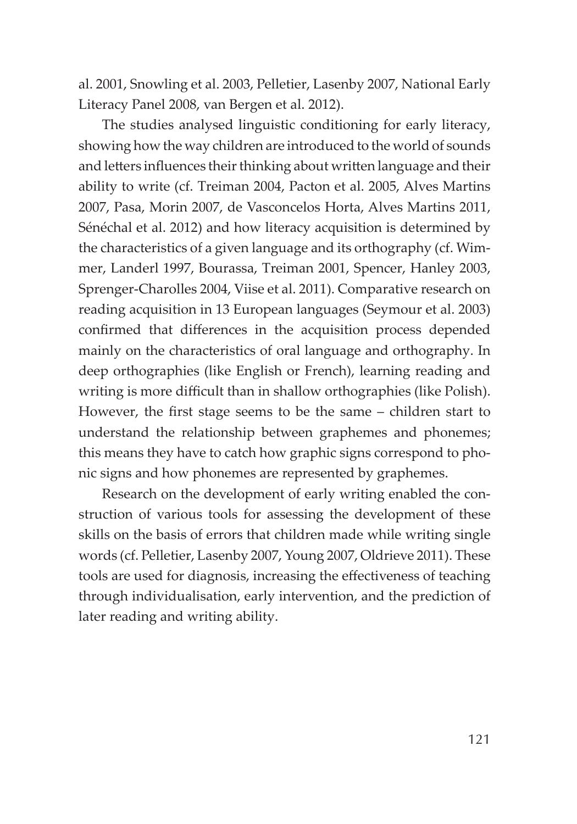al. 2001, Snowling et al. 2003, Pelletier, Lasenby 2007, National Early Literacy Panel 2008, van Bergen et al. 2012).

The studies analysed linguistic conditioning for early literacy, showing how the way children are introduced to the world of sounds and letters influences their thinking about written language and their ability to write (cf. Treiman 2004, Pacton et al. 2005, Alves Martins 2007, Pasa, Morin 2007, de Vasconcelos Horta, Alves Martins 2011, Sénéchal et al. 2012) and how literacy acquisition is determined by the characteristics of a given language and its orthography (cf. Wimmer, Landerl 1997, Bourassa, Treiman 2001, Spencer, Hanley 2003, Sprenger-Charolles 2004, Viise et al. 2011). Comparative research on reading acquisition in 13 European languages (Seymour et al. 2003) confirmed that differences in the acquisition process depended mainly on the characteristics of oral language and orthography. In deep orthographies (like English or French), learning reading and writing is more difficult than in shallow orthographies (like Polish). However, the first stage seems to be the same  $-$  children start to understand the relationship between graphemes and phonemes; this means they have to catch how graphic signs correspond to phonic signs and how phonemes are represented by graphemes.

Research on the development of early writing enabled the construction of various tools for assessing the development of these skills on the basis of errors that children made while writing single words (cf. Pelletier, Lasenby 2007, Young 2007, Oldrieve 2011). These tools are used for diagnosis, increasing the effectiveness of teaching through individualisation, early intervention, and the prediction of later reading and writing ability.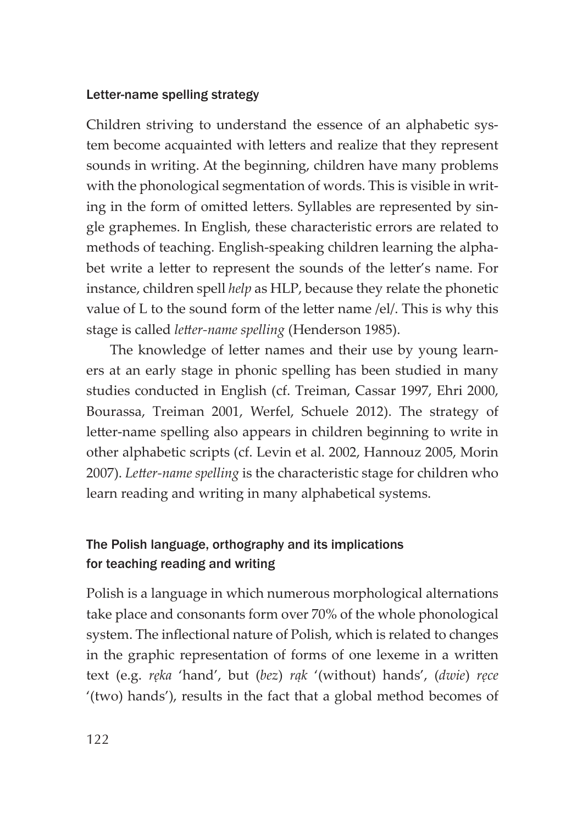#### Letter-name spelling strategy

Children striving to understand the essence of an alphabetic system become acquainted with letters and realize that they represent sounds in writing. At the beginning, children have many problems with the phonological segmentation of words. This is visible in writing in the form of omitted letters. Syllables are represented by single graphemes. In English, these characteristic errors are related to methods of teaching. English-speaking children learning the alphabet write a letter to represent the sounds of the letter's name. For instance, children spell *help* as HLP, because they relate the phonetic value of L to the sound form of the letter name /el/. This is why this stage is called *letter-name spelling* (Henderson 1985).

The knowledge of letter names and their use by young learners at an early stage in phonic spelling has been studied in many studies conducted in English (cf. Treiman, Cassar 1997, Ehri 2000, Bourassa, Treiman 2001, Werfel, Schuele 2012). The strategy of letter-name spelling also appears in children beginning to write in other alphabetic scripts (cf. Levin et al. 2002, Hannouz 2005, Morin 2007). Letter-name spelling is the characteristic stage for children who learn reading and writing in many alphabetical systems.

## The Polish language, orthography and its implications for teaching reading and writing

Polish is a language in which numerous morphological alternations take place and consonants form over 70% of the whole phonological system. The inflectional nature of Polish, which is related to changes in the graphic representation of forms of one lexeme in a written text (e.g. *ręka* 'hand', but (*bez*) *rąk* '(without) hands', (*dwie*) *ręce*  '(two) hands'), results in the fact that a global method becomes of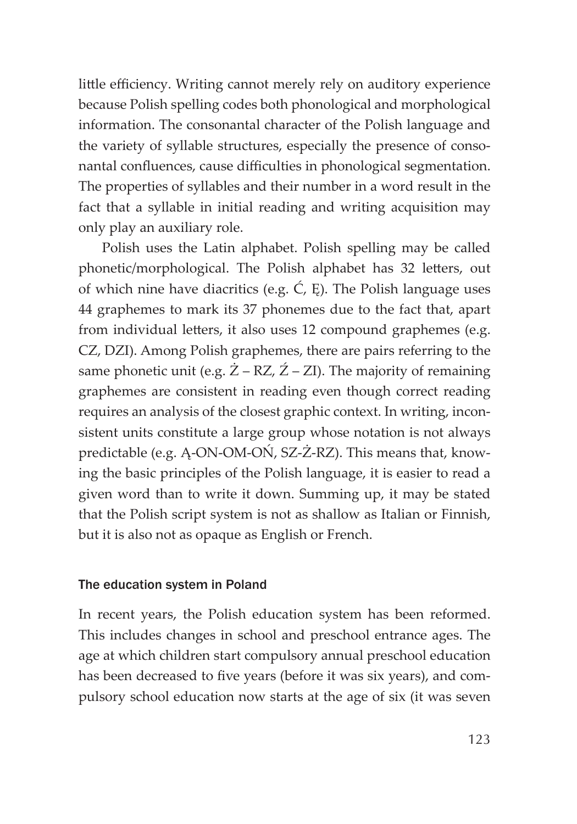little efficiency. Writing cannot merely rely on auditory experience because Polish spelling codes both phonological and morphological information. The consonantal character of the Polish language and the variety of syllable structures, especially the presence of consonantal confluences, cause difficulties in phonological segmentation. The properties of syllables and their number in a word result in the fact that a syllable in initial reading and writing acquisition may only play an auxiliary role.

Polish uses the Latin alphabet. Polish spelling may be called phonetic/morphological. The Polish alphabet has 32 letters, out of which nine have diacritics (e.g.  $\acute{C}$ ,  $E$ ). The Polish language uses 44 graphemes to mark its 37 phonemes due to the fact that, apart from individual letters, it also uses 12 compound graphemes (e.g. CZ, DZI). Among Polish graphemes, there are pairs referring to the same phonetic unit (e.g.  $\dot{Z}$  – RZ,  $\dot{Z}$  – ZI). The majority of remaining graphemes are consistent in reading even though correct reading requires an analysis of the closest graphic context. In writing, inconsistent units constitute a large group whose notation is not always predictable (e.g. Ą-ON-OM-OŃ, SZ-Ż-RZ). This means that, knowing the basic principles of the Polish language, it is easier to read a given word than to write it down. Summing up, it may be stated that the Polish script system is not as shallow as Italian or Finnish, but it is also not as opaque as English or French.

#### The education system in Poland

In recent years, the Polish education system has been reformed. This includes changes in school and preschool entrance ages. The age at which children start compulsory annual preschool education has been decreased to five years (before it was six years), and compulsory school education now starts at the age of six (it was seven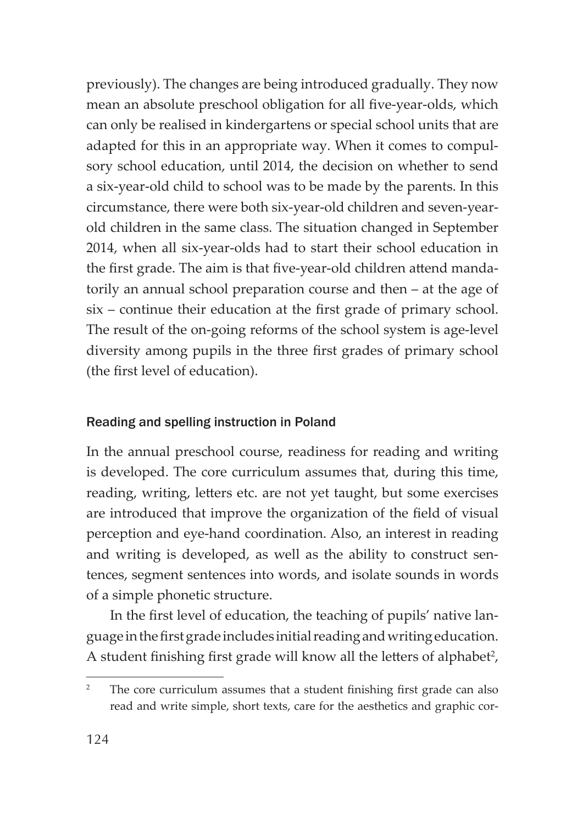previously). The changes are being introduced gradually. They now mean an absolute preschool obligation for all five-year-olds, which can only be realised in kindergartens or special school units that are adapted for this in an appropriate way. When it comes to compulsory school education, until 2014, the decision on whether to send a six-year-old child to school was to be made by the parents. In this circumstance, there were both six-year-old children and seven-yearold children in the same class. The situation changed in September 2014, when all six-year-olds had to start their school education in the first grade. The aim is that five-year-old children attend mandatorily an annual school preparation course and then – at the age of six – continue their education at the first grade of primary school. The result of the on-going reforms of the school system is age-level diversity among pupils in the three first grades of primary school (the first level of education).

#### Reading and spelling instruction in Poland

In the annual preschool course, readiness for reading and writing is developed. The core curriculum assumes that, during this time, reading, writing, letters etc. are not yet taught, but some exercises are introduced that improve the organization of the field of visual perception and eye-hand coordination. Also, an interest in reading and writing is developed, as well as the ability to construct sentences, segment sentences into words, and isolate sounds in words of a simple phonetic structure.

In the first level of education, the teaching of pupils' native language in the first grade includes initial reading and writing education. A student finishing first grade will know all the letters of alphabet<sup>2</sup>,

<sup>&</sup>lt;sup>2</sup> The core curriculum assumes that a student finishing first grade can also read and write simple, short texts, care for the aesthetics and graphic cor-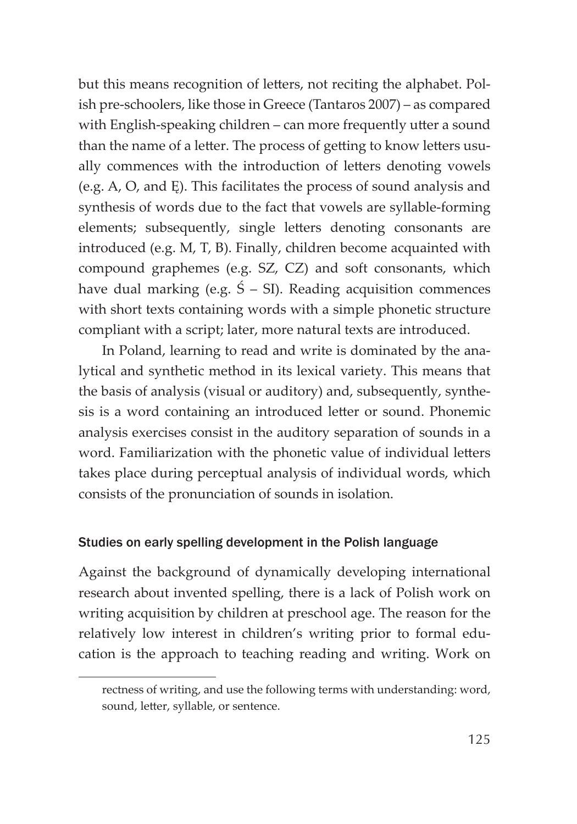but this means recognition of letters, not reciting the alphabet. Polish pre-schoolers, like those in Greece (Tantaros 2007) – as compared with English-speaking children – can more frequently utter a sound than the name of a letter. The process of getting to know letters usually commences with the introduction of letters denoting vowels (e.g. A, O, and Ę). This facilitates the process of sound analysis and synthesis of words due to the fact that vowels are syllable-forming elements; subsequently, single letters denoting consonants are introduced (e.g. M, T, B). Finally, children become acquainted with compound graphemes (e.g. SZ, CZ) and soft consonants, which have dual marking (e.g.  $\acute{S}$  – SI). Reading acquisition commences with short texts containing words with a simple phonetic structure compliant with a script; later, more natural texts are introduced.

In Poland, learning to read and write is dominated by the analytical and synthetic method in its lexical variety. This means that the basis of analysis (visual or auditory) and, subsequently, synthesis is a word containing an introduced letter or sound. Phonemic analysis exercises consist in the auditory separation of sounds in a word. Familiarization with the phonetic value of individual letters takes place during perceptual analysis of individual words, which consists of the pronunciation of sounds in isolation.

#### Studies on early spelling development in the Polish language

Against the background of dynamically developing international research about invented spelling, there is a lack of Polish work on writing acquisition by children at preschool age. The reason for the relatively low interest in children's writing prior to formal education is the approach to teaching reading and writing. Work on

rectness of writing, and use the following terms with understanding: word, sound, letter, syllable, or sentence.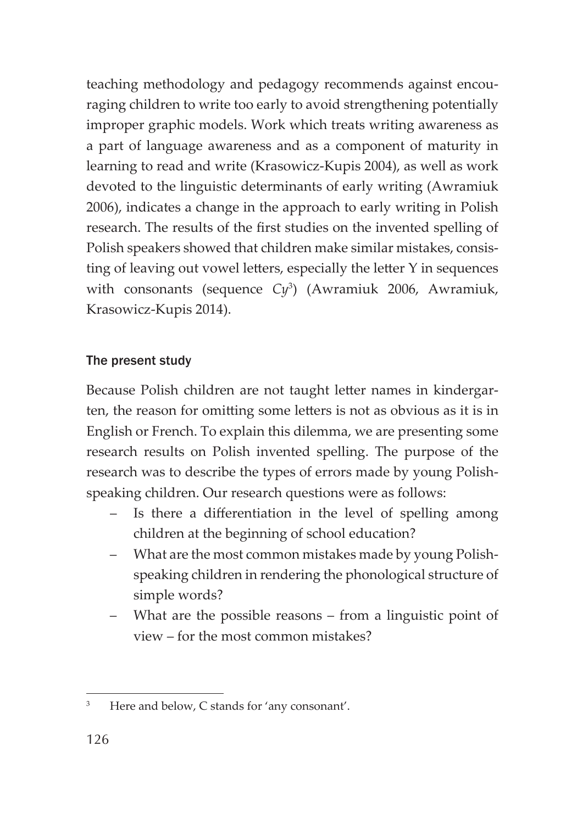teaching methodology and pedagogy recommends against encouraging children to write too early to avoid strengthening potentially improper graphic models. Work which treats writing awareness as a part of language awareness and as a component of maturity in learning to read and write (Krasowicz-Kupis 2004), as well as work devoted to the linguistic determinants of early writing (Awramiuk 2006), indicates a change in the approach to early writing in Polish research. The results of the first studies on the invented spelling of Polish speakers showed that children make similar mistakes, consisting of leaving out vowel letters, especially the letter Y in sequences with consonants (sequence *Cy*<sup>3</sup> ) (Awramiuk 2006, Awramiuk, Krasowicz-Kupis 2014).

#### The present study

Because Polish children are not taught letter names in kindergarten, the reason for omitting some letters is not as obvious as it is in English or French. To explain this dilemma, we are presenting some research results on Polish invented spelling. The purpose of the research was to describe the types of errors made by young Polishspeaking children. Our research questions were as follows:

- Is there a differentiation in the level of spelling among children at the beginning of school education?
- What are the most common mistakes made by young Polishspeaking children in rendering the phonological structure of simple words?
- What are the possible reasons from a linguistic point of view – for the most common mistakes?

<sup>&</sup>lt;sup>3</sup> Here and below, C stands for 'any consonant'.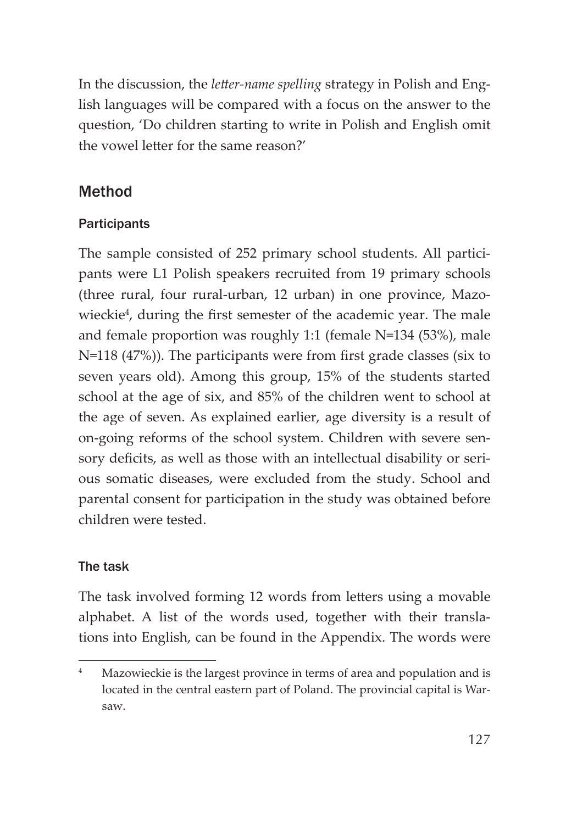In the discussion, the *letter-name spelling* strategy in Polish and English languages will be compared with a focus on the answer to the question, 'Do children starting to write in Polish and English omit the vowel letter for the same reason?'

## Method

#### **Participants**

The sample consisted of 252 primary school students. All participants were L1 Polish speakers recruited from 19 primary schools (three rural, four rural-urban, 12 urban) in one province, Mazowieckie<sup>4</sup>, during the first semester of the academic year. The male and female proportion was roughly 1:1 (female N=134 (53%), male  $N=118$  (47%)). The participants were from first grade classes (six to seven years old). Among this group, 15% of the students started school at the age of six, and 85% of the children went to school at the age of seven. As explained earlier, age diversity is a result of on-going reforms of the school system. Children with severe sensory deficits, as well as those with an intellectual disability or serious somatic diseases, were excluded from the study. School and parental consent for participation in the study was obtained before children were tested.

#### The task

The task involved forming 12 words from letters using a movable alphabet. A list of the words used, together with their translations into English, can be found in the Appendix. The words were

Mazowieckie is the largest province in terms of area and population and is located in the central eastern part of Poland. The provincial capital is Warsaw.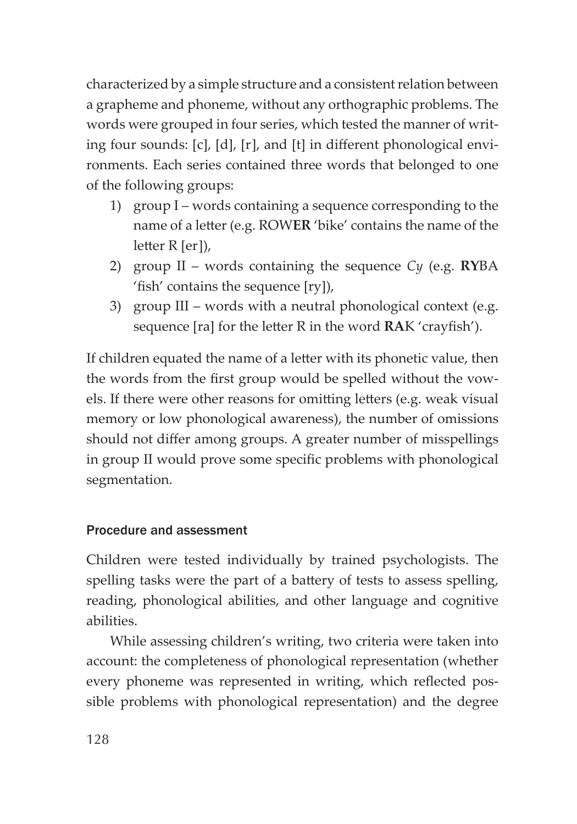characterized by a simple structure and a consistent relation between a grapheme and phoneme, without any orthographic problems. The words were grouped in four series, which tested the manner of writing four sounds:  $[c]$ ,  $[d]$ ,  $[r]$ , and  $[t]$  in different phonological environments. Each series contained three words that belonged to one of the following groups:

- 1) group I words containing a sequence corresponding to the name of a letter (e.g. ROWER 'bike' contains the name of the  $letter R [er]),$
- 2) group II words containing the sequence *Cy* (e.g. **RY**BA 'fish' contains the sequence  $[ry]$ ),
- 3) group III words with a neutral phonological context (e.g. sequence [ra] for the letter R in the word **RA**K 'crayfish').

If children equated the name of a letter with its phonetic value, then the words from the first group would be spelled without the vowels. If there were other reasons for omitting letters (e.g. weak visual memory or low phonological awareness), the number of omissions should not differ among groups. A greater number of misspellings in group II would prove some specific problems with phonological segmentation.

#### Procedure and assessment

Children were tested individually by trained psychologists. The spelling tasks were the part of a battery of tests to assess spelling, reading, phonological abilities, and other language and cognitive abilities.

While assessing children's writing, two criteria were taken into account: the completeness of phonological representation (whether every phoneme was represented in writing, which reflected possible problems with phonological representation) and the degree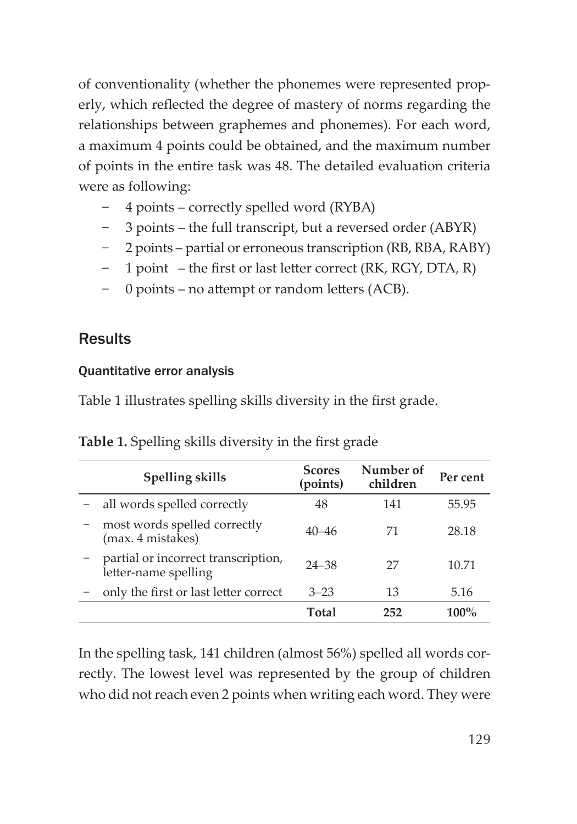of conventionality (whether the phonemes were represented properly, which reflected the degree of mastery of norms regarding the relationships between graphemes and phonemes). For each word, a maximum 4 points could be obtained, and the maximum number of points in the entire task was 48. The detailed evaluation criteria were as following:

- − 4 points correctly spelled word (RYBA)
- 3 points the full transcript, but a reversed order (ABYR)
- − 2 points partial or erroneous transcription (RB, RBA, RABY)
- − 1 point the first or last letter correct (RK, RGY, DTA, R)
- − 0 points no attempt or random letters (ACB).

## **Results**

#### Quantitative error analysis

Table 1 illustrates spelling skills diversity in the first grade.

| Spelling skills                                             | <b>Scores</b><br>(points) | Number of<br>children | Per cent |
|-------------------------------------------------------------|---------------------------|-----------------------|----------|
| all words spelled correctly                                 | 48                        | 141                   | 55.95    |
| most words spelled correctly<br>(max. 4 mistakes)           | $40 - 46$                 | 71                    | 28.18    |
| partial or incorrect transcription,<br>letter-name spelling | $24 - 38$                 | 27                    | 10.71    |
| only the first or last letter correct                       | $3 - 23$                  | 13                    | 5.16     |
|                                                             | Total                     | 252                   | $100\%$  |

**Table 1.** Spelling skills diversity in the first grade

In the spelling task, 141 children (almost 56%) spelled all words correctly. The lowest level was represented by the group of children who did not reach even 2 points when writing each word. They were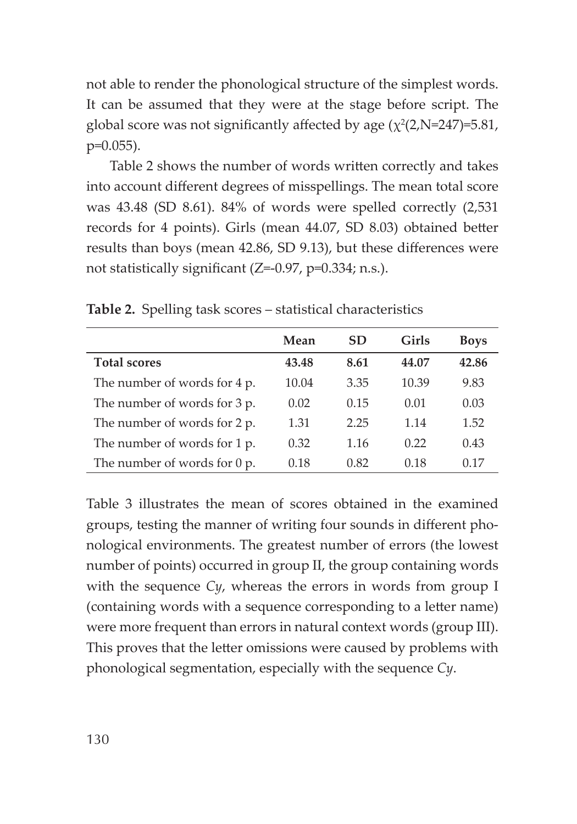not able to render the phonological structure of the simplest words. It can be assumed that they were at the stage before script. The global score was not significantly affected by age  $(\chi^2(2,N=247)=5.81,$ p=0.055).

Table 2 shows the number of words written correctly and takes into account different degrees of misspellings. The mean total score was 43.48 (SD 8.61). 84% of words were spelled correctly (2,531 records for 4 points). Girls (mean 44.07, SD 8.03) obtained better results than boys (mean 42.86, SD 9.13), but these differences were not statistically significant  $(Z=0.97, p=0.334; n.s.).$ 

|                                           | Mean  | <b>SD</b> | Girls | <b>Boys</b> |
|-------------------------------------------|-------|-----------|-------|-------------|
| <b>Total scores</b>                       | 43.48 | 8.61      | 44.07 | 42.86       |
| The number of words for 4 p.              | 10.04 | 3.35      | 10.39 | 9.83        |
| The number of words for 3 p.              | 0.02  | 0.15      | 0.01  | 0.03        |
| The number of words for 2 p.              | 1.31  | 2.25      | 1.14  | 1.52        |
| The number of words for 1 p.              | 0.32  | 1.16      | 0.22  | 0.43        |
| The number of words for $0 \, \text{p}$ . | 0.18  | 0.82      | 0.18  | 0.17        |

**Table 2.** Spelling task scores – statistical characteristics

Table 3 illustrates the mean of scores obtained in the examined groups, testing the manner of writing four sounds in different phonological environments. The greatest number of errors (the lowest number of points) occurred in group II, the group containing words with the sequence *Cy*, whereas the errors in words from group I (containing words with a sequence corresponding to a letter name) were more frequent than errors in natural context words (group III). This proves that the letter omissions were caused by problems with phonological segmentation, especially with the sequence *Cy*.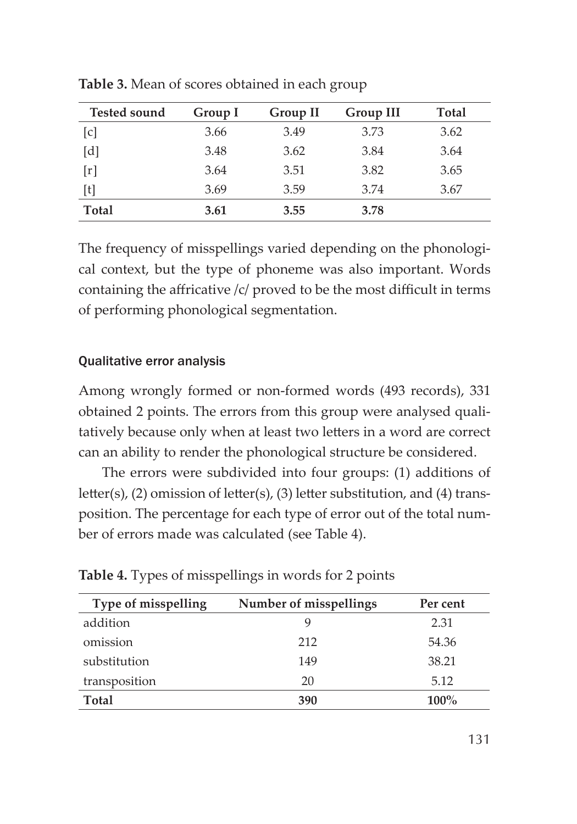| <b>Tested sound</b>                                                                                                                                                                                                                                              | Group I | Group II | Group III | <b>Total</b> |
|------------------------------------------------------------------------------------------------------------------------------------------------------------------------------------------------------------------------------------------------------------------|---------|----------|-----------|--------------|
| $\lceil c \rceil$                                                                                                                                                                                                                                                | 3.66    | 3.49     | 3.73      | 3.62         |
| [d]                                                                                                                                                                                                                                                              | 3.48    | 3.62     | 3.84      | 3.64         |
| [r]                                                                                                                                                                                                                                                              | 3.64    | 3.51     | 3.82      | 3.65         |
| $[t]% \centering \includegraphics[width=0.47\textwidth]{images/TrDiM-Architecture.png} \caption{The figure shows the number of parameters in the left and right. The left and right is the number of numbers of the left and right.} \label{TrDiM-Architecture}$ | 3.69    | 3.59     | 3.74      | 3.67         |
| <b>Total</b>                                                                                                                                                                                                                                                     | 3.61    | 3.55     | 3.78      |              |

**Table 3.** Mean of scores obtained in each group

The frequency of misspellings varied depending on the phonological context, but the type of phoneme was also important. Words containing the affricative  $\frac{c}{r}$  proved to be the most difficult in terms of performing phonological segmentation.

#### Qualitative error analysis

Among wrongly formed or non-formed words (493 records), 331 obtained 2 points. The errors from this group were analysed qualitatively because only when at least two letters in a word are correct can an ability to render the phonological structure be considered.

The errors were subdivided into four groups: (1) additions of letter(s), (2) omission of letter(s), (3) letter substitution, and (4) transposition. The percentage for each type of error out of the total number of errors made was calculated (see Table 4).

| Type of misspelling | Number of misspellings | Per cent |
|---------------------|------------------------|----------|
| addition            |                        | 2.31     |
| omission            | 212                    | 54.36    |
| substitution        | 149                    | 38.21    |
| transposition       | 20                     | 5.12     |
| Total               | 390                    | $100\%$  |

**Table 4.** Types of misspellings in words for 2 points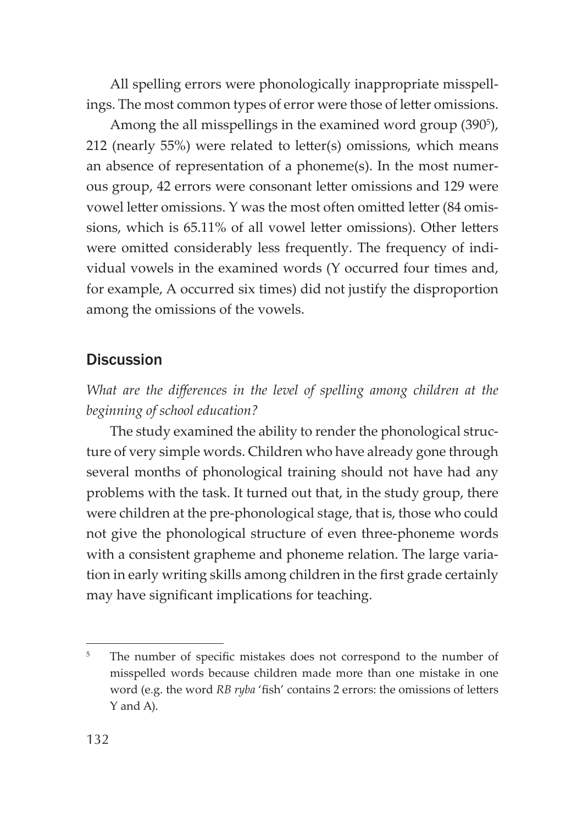All spelling errors were phonologically inappropriate misspellings. The most common types of error were those of letter omissions.

Among the all misspellings in the examined word group (390<sup>5</sup>), 212 (nearly  $55\%$ ) were related to letter(s) omissions, which means an absence of representation of a phoneme(s). In the most numerous group, 42 errors were consonant letter omissions and 129 were vowel letter omissions. Y was the most often omitted letter (84 omissions, which is 65.11% of all vowel letter omissions). Other letters were omitted considerably less frequently. The frequency of individual vowels in the examined words (Y occurred four times and, for example, A occurred six times) did not justify the disproportion among the omissions of the vowels.

#### **Discussion**

*What are the differences in the level of spelling among children at the beginning of school education?*

The study examined the ability to render the phonological structure of very simple words. Children who have already gone through several months of phonological training should not have had any problems with the task. It turned out that, in the study group, there were children at the pre-phonological stage, that is, those who could not give the phonological structure of even three-phoneme words with a consistent grapheme and phoneme relation. The large variation in early writing skills among children in the first grade certainly may have significant implications for teaching.

<sup>&</sup>lt;sup>5</sup> The number of specific mistakes does not correspond to the number of misspelled words because children made more than one mistake in one word (e.g. the word *RB ryba* 'fish' contains 2 errors: the omissions of letters Y and A).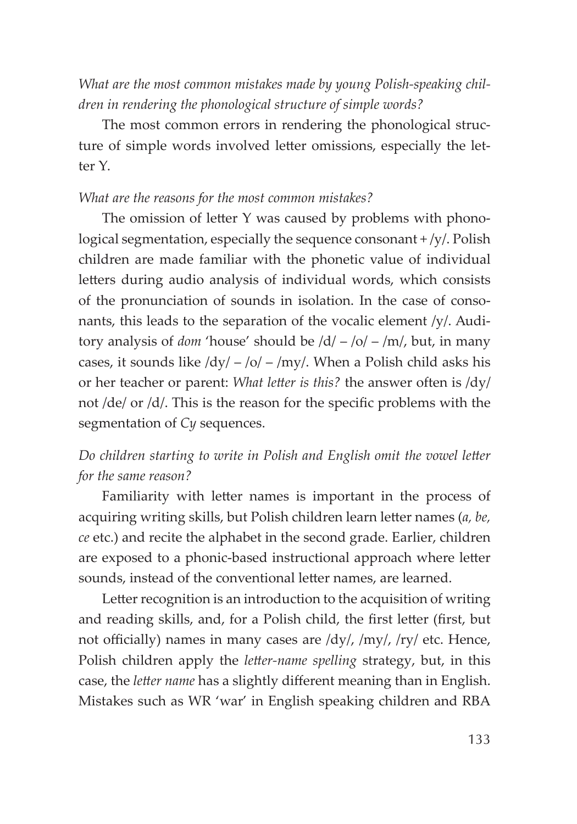*What are the most common mistakes made by young Polish-speaking children in rendering the phonological structure of simple words?*

The most common errors in rendering the phonological structure of simple words involved letter omissions, especially the letter Y.

#### *What are the reasons for the most common mistakes?*

The omission of letter  $Y$  was caused by problems with phonological segmentation, especially the sequence consonant + /y/. Polish children are made familiar with the phonetic value of individual letters during audio analysis of individual words, which consists of the pronunciation of sounds in isolation. In the case of consonants, this leads to the separation of the vocalic element /y/. Auditory analysis of *dom* 'house' should be /d/ – /o/ – /m/, but, in many cases, it sounds like  $\frac{dy}{-} - \frac{dy}{m}$ . When a Polish child asks his or her teacher or parent: *What letter is this?* the answer often is  $\frac{dy}{dx}$ not  $\frac{d}{dt}$  or  $\frac{d}{dt}$ . This is the reason for the specific problems with the segmentation of *Cy* sequences.

#### *Do children starting to write in Polish and English omit the vowel letter for the same reason?*

Familiarity with letter names is important in the process of acquiring writing skills, but Polish children learn letter names (*a*, *be*, *ce* etc.) and recite the alphabet in the second grade. Earlier, children are exposed to a phonic-based instructional approach where letter sounds, instead of the conventional letter names, are learned.

Letter recognition is an introduction to the acquisition of writing and reading skills, and, for a Polish child, the first letter (first, but not officially) names in many cases are  $\frac{dy}{dy}$ ,  $\frac{my}{ry}$  etc. Hence, Polish children apply the *letter-name spelling* strategy, but, in this case, the *letter name* has a slightly different meaning than in English. Mistakes such as WR 'war' in English speaking children and RBA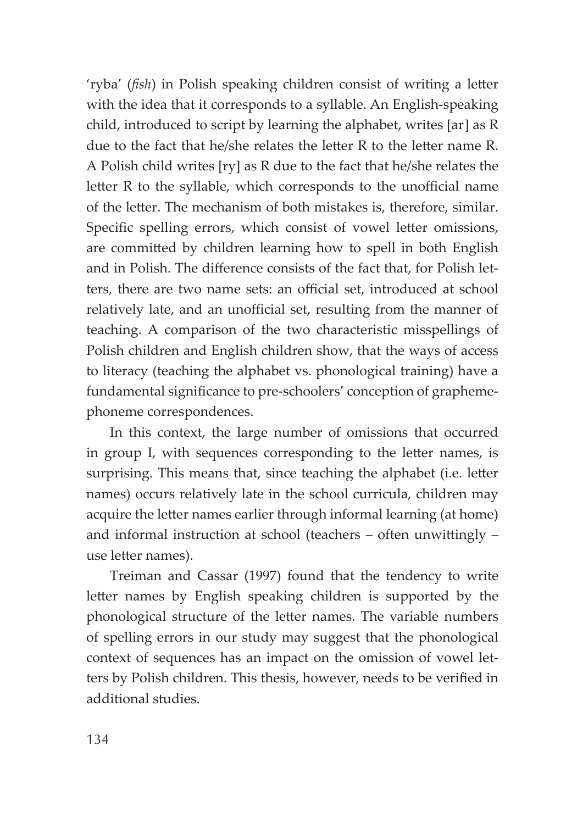'ryba' (*fish*) in Polish speaking children consist of writing a letter with the idea that it corresponds to a syllable. An English-speaking child, introduced to script by learning the alphabet, writes [ar] as R due to the fact that he/she relates the letter R to the letter name R. A Polish child writes [ry] as R due to the fact that he/she relates the letter R to the syllable, which corresponds to the unofficial name of the letter. The mechanism of both mistakes is, therefore, similar. Specific spelling errors, which consist of vowel letter omissions, are committed by children learning how to spell in both English and in Polish. The difference consists of the fact that, for Polish letters, there are two name sets: an official set, introduced at school relatively late, and an unofficial set, resulting from the manner of teaching. A comparison of the two characteristic misspellings of Polish children and English children show, that the ways of access to literacy (teaching the alphabet vs. phonological training) have a fundamental significance to pre-schoolers' conception of graphemephoneme correspondences.

In this context, the large number of omissions that occurred in group I, with sequences corresponding to the letter names, is surprising. This means that, since teaching the alphabet (i.e. letter names) occurs relatively late in the school curricula, children may acquire the letter names earlier through informal learning (at home) and informal instruction at school (teachers  $-$  often unwittingly  $$ use letter names).

Treiman and Cassar (1997) found that the tendency to write letter names by English speaking children is supported by the phonological structure of the letter names. The variable numbers of spelling errors in our study may suggest that the phonological context of sequences has an impact on the omission of vowel letters by Polish children. This thesis, however, needs to be verified in additional studies.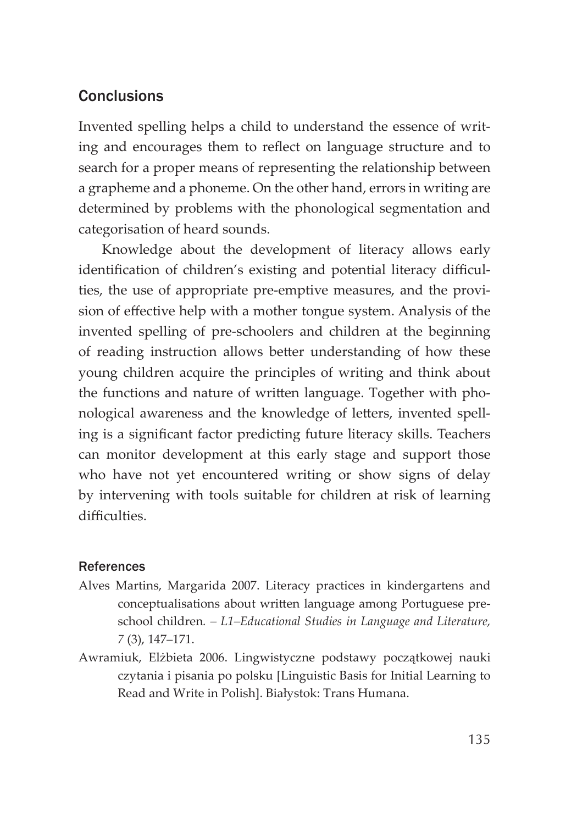## **Conclusions**

Invented spelling helps a child to understand the essence of writing and encourages them to reflect on language structure and to search for a proper means of representing the relationship between a grapheme and a phoneme. On the other hand, errors in writing are determined by problems with the phonological segmentation and categorisation of heard sounds.

Knowledge about the development of literacy allows early identification of children's existing and potential literacy difficulties, the use of appropriate pre-emptive measures, and the provision of effective help with a mother tongue system. Analysis of the invented spelling of pre-schoolers and children at the beginning of reading instruction allows better understanding of how these young children acquire the principles of writing and think about the functions and nature of written language. Together with phonological awareness and the knowledge of letters, invented spelling is a significant factor predicting future literacy skills. Teachers can monitor development at this early stage and support those who have not yet encountered writing or show signs of delay by intervening with tools suitable for children at risk of learning difficulties

#### References

- Alves Martins, Margarida 2007. Literacy practices in kindergartens and conceptualisations about written language among Portuguese preschool children*. – L1–Educational Studies in Language and Literature, 7* (3), 147–171.
- Awramiuk, Elżbieta 2006. Lingwistyczne podstawy początkowej nauki czytania i pisania po polsku [Linguistic Basis for Initial Learning to Read and Write in Polish]. Białystok: Trans Humana.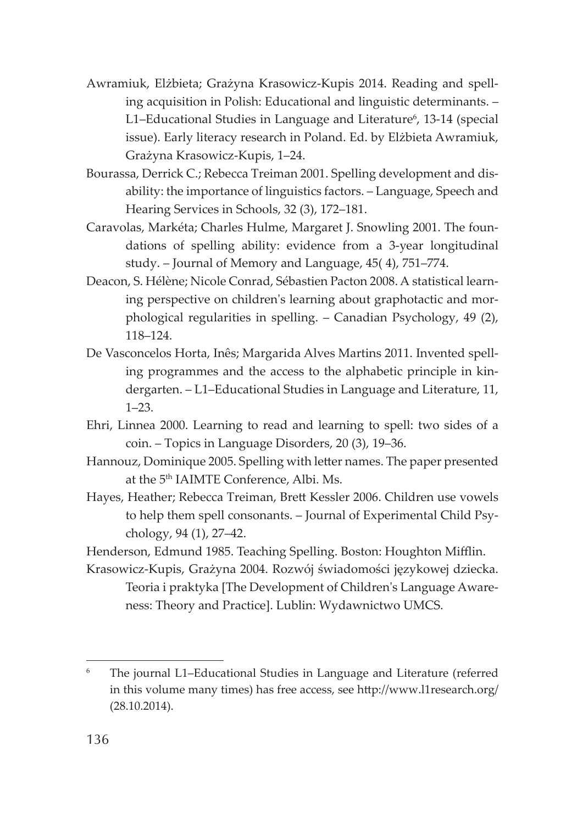- Awramiuk, Elżbieta; Grażyna Krasowicz-Kupis 2014. Reading and spelling acquisition in Polish: Educational and linguistic determinants. – L1–Educational Studies in Language and Literature<sup>6</sup>, 13-14 (special issue). Early literacy research in Poland. Ed. by Elżbieta Awramiuk, Grażyna Krasowicz-Kupis, 1–24.
- Bourassa, Derrick C.; Rebecca Treiman 2001. Spelling development and disability: the importance of linguistics factors. – Language, Speech and Hearing Services in Schools, 32 (3), 172–181.
- Caravolas, Markéta; Charles Hulme, Margaret J. Snowling 2001. The foundations of spelling ability: evidence from a 3-year longitudinal study. – Journal of Memory and Language, 45( 4), 751–774.
- Deacon, S. Hélène; Nicole Conrad, Sébastien Pacton 2008. A statistical learning perspective on children's learning about graphotactic and morphological regularities in spelling. – Canadian Psychology, 49 (2), 118–124.
- De Vasconcelos Horta, Inês; Margarida Alves Martins 2011. Invented spelling programmes and the access to the alphabetic principle in kindergarten. – L1–Educational Studies in Language and Literature, 11, 1–23.
- Ehri, Linnea 2000. Learning to read and learning to spell: two sides of a coin. – Topics in Language Disorders, 20 (3), 19–36.
- Hannouz, Dominique 2005. Spelling with letter names. The paper presented at the 5<sup>th</sup> IAIMTE Conference, Albi. Ms.
- Hayes, Heather; Rebecca Treiman, Brett Kessler 2006. Children use vowels to help them spell consonants. – Journal of Experimental Child Psychology, 94 (1), 27–42.
- Henderson, Edmund 1985. Teaching Spelling. Boston: Houghton Mifflin.
- Krasowicz-Kupis, Grażyna 2004. Rozwój świadomości językowej dziecka. Teoria i praktyka [The Development of Children's Language Awareness: Theory and Practice]. Lublin: Wydawnictwo UMCS.

<sup>6</sup> The journal L1–Educational Studies in Language and Literature (referred in this volume many times) has free access, see http://www.l1research.org/ (28.10.2014).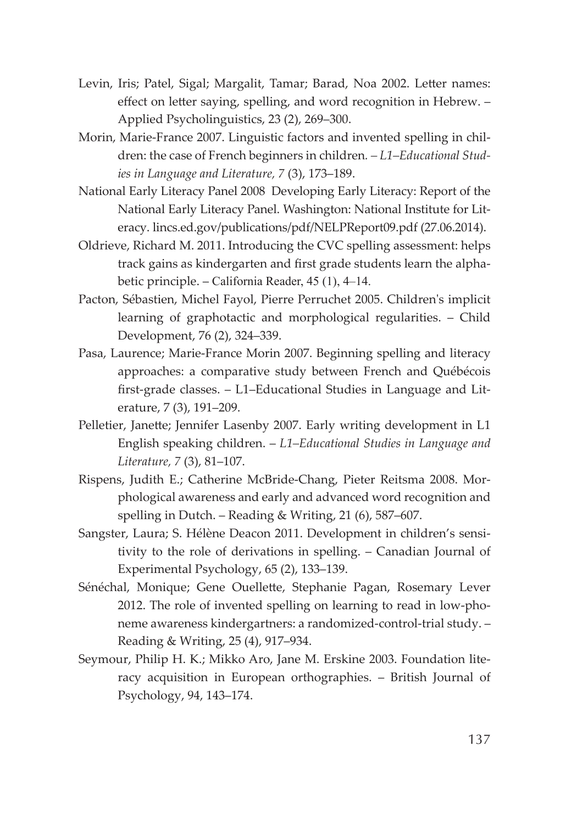- Levin, Iris; Patel, Sigal; Margalit, Tamar; Barad, Noa 2002. Letter names: effect on letter saying, spelling, and word recognition in Hebrew. – Applied Psycholinguistics, 23 (2), 269–300.
- Morin, Marie-France 2007. Linguistic factors and invented spelling in children: the case of French beginners in children*. – L1–Educational Studies in Language and Literature, 7* (3), 173–189.
- National Early Literacy Panel 2008 Developing Early Literacy: Report of the National Early Literacy Panel. Washington: National Institute for Literacy. [lincs.ed.gov/publications/pdf/NELPReport09.pdf](http://lincs.ed.gov/publications/pdf/NELPReport09.pdf) (27.06.2014).
- Oldrieve, Richard M. 2011. Introducing the CVC spelling assessment: helps track gains as kindergarten and first grade students learn the alphabetic principle. – California Reader, 45 (1), 4–14.
- Pacton, Sébastien, Michel Fayol, Pierre Perruchet 2005. Children's implicit learning of graphotactic and morphological regularities. – Child Development, 76 (2), 324–339.
- Pasa, Laurence; Marie-France Morin 2007. Beginning spelling and literacy approaches: a comparative study between French and Québécois first-grade classes. - L1-Educational Studies in Language and Literature, 7 (3), 191–209.
- Pelletier, Janette; Jennifer Lasenby 2007. Early writing development in L1 English speaking children. – *L1–Educational Studies in Language and Literature, 7* (3), 81–107.
- Rispens, Judith E.; Catherine McBride-Chang, Pieter Reitsma 2008. Morphological awareness and early and advanced word recognition and spelling in Dutch. – Reading & Writing, 21 (6), 587–607.
- Sangster, Laura; S. Hélène Deacon 2011. Development in children's sensitivity to the role of derivations in spelling. – Canadian Journal of Experimental Psychology, 65 (2), 133–139.
- Sénéchal, Monique; Gene Ouellette, Stephanie Pagan, Rosemary Lever 2012. The role of invented spelling on learning to read in low-phoneme awareness kindergartners: a randomized-control-trial study. – Reading & Writing, 25 (4), 917–934.
- Seymour, Philip H. K.; Mikko Aro, Jane M. Erskine 2003. Foundation literacy acquisition in European orthographies. – British Journal of Psychology, 94, 143–174.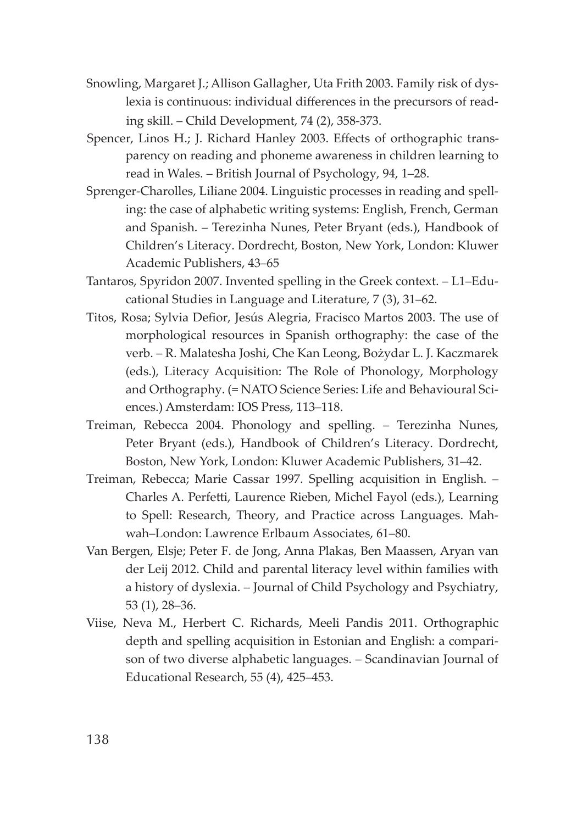- Snowling, Margaret J.; Allison Gallagher, Uta Frith 2003. Family risk of dyslexia is continuous: individual differences in the precursors of reading skill. – Child Development, 74 (2), 358-373.
- Spencer, Linos H.; J. Richard Hanley 2003. Effects of orthographic transparency on reading and phoneme awareness in children learning to read in Wales. – British Journal of Psychology, 94, 1–28.
- Sprenger-Charolles, Liliane 2004. Linguistic processes in reading and spelling: the case of alphabetic writing systems: English, French, German and Spanish. – Terezinha Nunes, Peter Bryant (eds.), Handbook of Children's Literacy. Dordrecht, Boston, New York, London: Kluwer Academic Publishers, 43–65
- Tantaros, Spyridon 2007. Invented spelling in the Greek context. L1–Educational Studies in Language and Literature, 7 (3), 31–62.
- Titos, Rosa; Sylvia Defior, Jesús Alegria, Fracisco Martos 2003. The use of morphological resources in Spanish orthography: the case of the verb. – R. Malatesha Joshi, Che Kan Leong, Bożydar L. J. Kaczmarek (eds.), Literacy Acquisition: The Role of Phonology, Morphology and Orthography. (= NATO Science Series: Life and Behavioural Sciences.) Amsterdam: IOS Press, 113–118.
- Treiman, Rebecca 2004. Phonology and spelling. Terezinha Nunes, Peter Bryant (eds.), Handbook of Children's Literacy. Dordrecht, Boston, New York, London: Kluwer Academic Publishers, 31–42.
- Treiman, Rebecca; Marie Cassar 1997. Spelling acquisition in English. Charles A. Perfetti, Laurence Rieben, Michel Fayol (eds.), Learning to Spell: Research, Theory, and Practice across Languages. Mahwah–London: Lawrence Erlbaum Associates, 61–80.
- Van Bergen, Elsje; Peter F. de Jong, Anna Plakas, Ben Maassen, Aryan van der Leij 2012. Child and parental literacy level within families with a history of dyslexia. – Journal of Child Psychology and Psychiatry, 53 (1), 28–36.
- Viise, Neva M., Herbert C. Richards, Meeli Pandis 2011. Orthographic depth and spelling acquisition in Estonian and English: a comparison of two diverse alphabetic languages. – Scandinavian Journal of Educational Research, 55 (4), 425–453.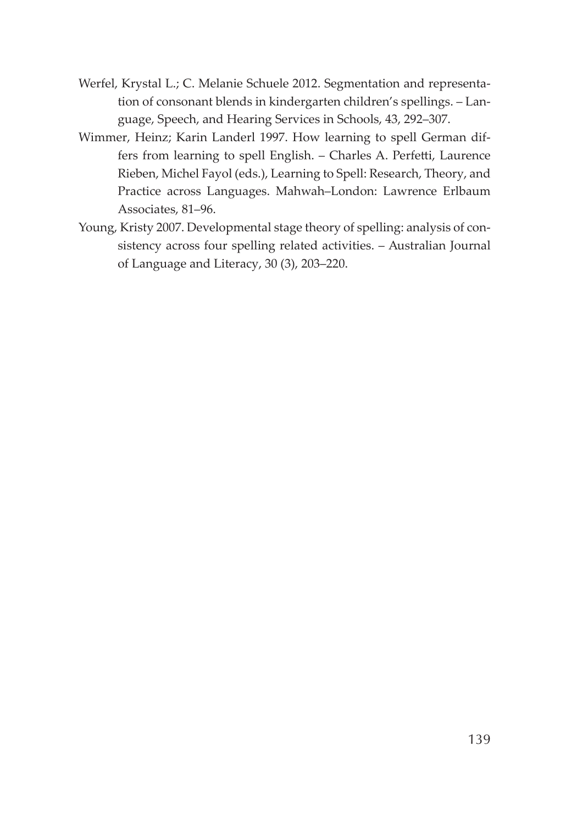- Werfel, Krystal L.; C. Melanie Schuele 2012. Segmentation and representation of consonant blends in kindergarten children's spellings. – Language, Speech, and Hearing Services in Schools, 43, 292–307.
- Wimmer, Heinz; Karin Landerl 1997. How learning to spell German differs from learning to spell English. - Charles A. Perfetti, Laurence Rieben, Michel Fayol (eds.), Learning to Spell: Research, Theory, and Practice across Languages. Mahwah–London: Lawrence Erlbaum Associates, 81–96.
- Young, Kristy 2007. Developmental stage theory of spelling: analysis of consistency across four spelling related activities. – Australian Journal of Language and Literacy, 30 (3), 203–220.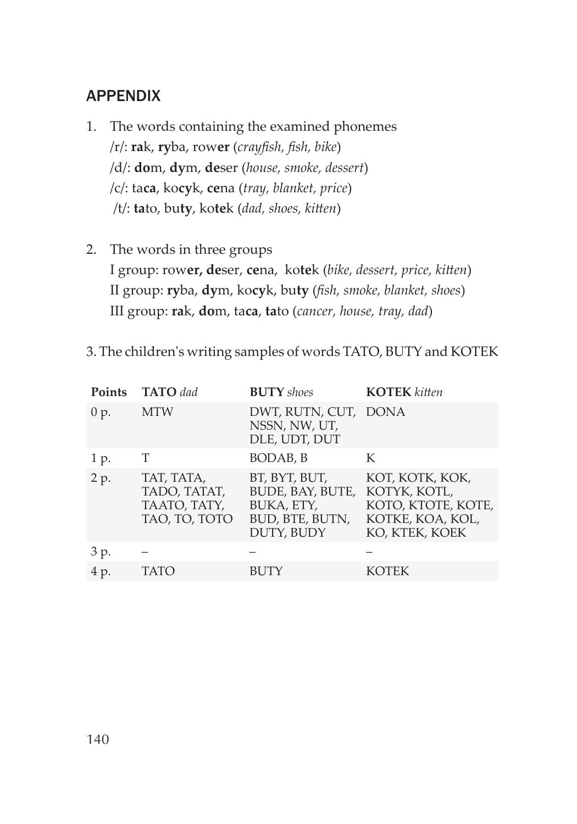## APPENDIX

- 1. The words containing the examined phonemes /r/: **ra**k, **ry**ba, row**er** (*crayfi sh, fi sh, bike*) /d/: **do**m, **dy**m, **de**ser (*house, smoke, dessert*) /c/: ta**ca**, ko**cy**k, **ce**na (*tray, blanket, price*) /t/: **ta**to, bu**ty**, kotek (*dad, shoes, kitten*)
- 2. The words in three groups I group: rower, deser, cena, kotek (bike, dessert, price, kitten) II group: **ry**ba, **dy**m, ko**cy**k, bu**ty** (*fi sh, smoke, blanket, shoes*) III group: **ra**k, **do**m, ta**ca**, **ta**to (*cancer, house, tray, dad*)

| <b>Points</b> | <b>TATO</b> dad                                             | <b>BUTY</b> shoes                                                                | <b>KOTEK</b> kitten                                                                         |
|---------------|-------------------------------------------------------------|----------------------------------------------------------------------------------|---------------------------------------------------------------------------------------------|
| 0 p.          | <b>MTW</b>                                                  | DWT, RUTN, CUT, DONA<br>NSSN, NW, UT,<br>DLE, UDT, DUT                           |                                                                                             |
| 1 p.          | т                                                           | BODAB, B                                                                         | K                                                                                           |
| 2 p.          | TAT, TATA,<br>TADO, TATAT,<br>TAATO, TATY,<br>TAO, TO, TOTO | BT, BYT, BUT,<br>BUDE, BAY, BUTE,<br>BUKA, ETY,<br>BUD, BTE, BUTN,<br>DUTY, BUDY | KOT, KOTK, KOK,<br>KOTYK, KOTL,<br>KOTO, KTOTE, KOTE,<br>KOTKE, KOA, KOL,<br>KO, KTEK, KOEK |
| 3 p.          |                                                             |                                                                                  |                                                                                             |
| 4 p.          | TATO                                                        | <b>BUTY</b>                                                                      | KOTEK                                                                                       |

3. The children's writing samples of words TATO, BUTY and KOTEK